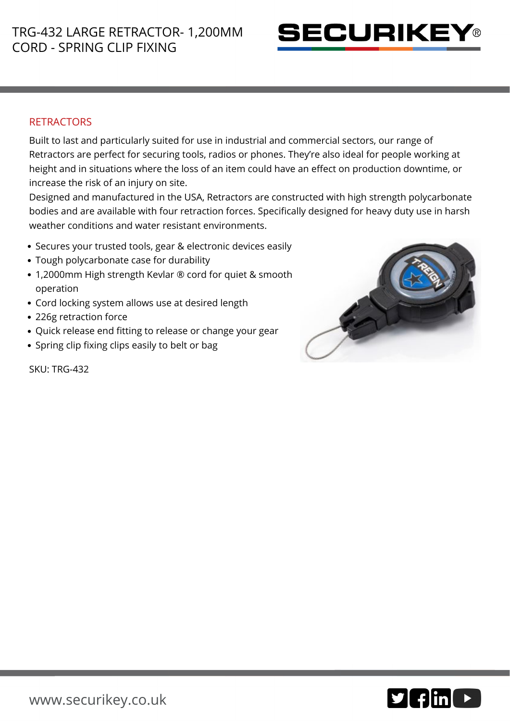

## **RETRACTORS**

Built to last and particularly suited for use in industrial and commercial sectors, our range of Retractors are perfect for securing tools, radios or phones. They're also ideal for people working at height and in situations where the loss of an item could have an effect on production downtime, or increase the risk of an injury on site.

Designed and manufactured in the USA, Retractors are constructed with high strength polycarbonate bodies and are available with four retraction forces. Specifically designed for heavy duty use in harsh weather conditions and water resistant environments.

- Secures your trusted tools, gear & electronic devices easily
- Tough polycarbonate case for durability
- 1,2000mm High strength Kevlar ® cord for quiet & smooth operation
- Cord locking system allows use at desired length
- 226g retraction force
- Quick release end fitting to release or change your gear
- Spring clip fixing clips easily to belt or bag



SKU: TRG-432

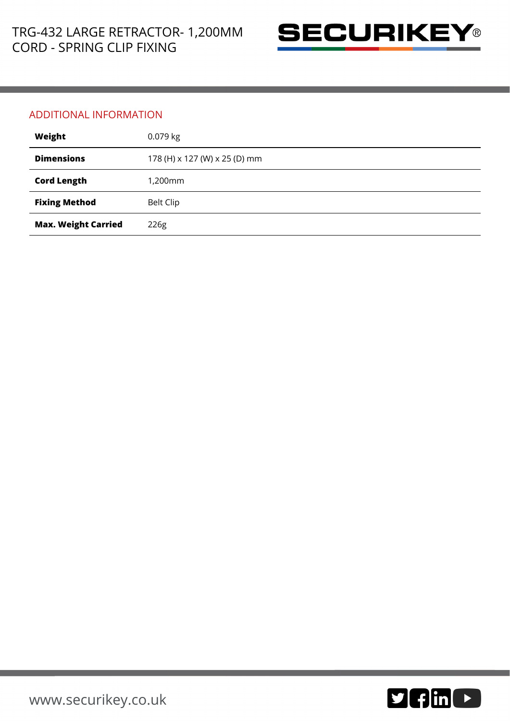

## ADDITIONAL INFORMATION

| Weight                     | $0.079$ kg                    |
|----------------------------|-------------------------------|
| <b>Dimensions</b>          | 178 (H) x 127 (W) x 25 (D) mm |
| <b>Cord Length</b>         | 1,200mm                       |
| <b>Fixing Method</b>       | <b>Belt Clip</b>              |
| <b>Max. Weight Carried</b> | 226g                          |

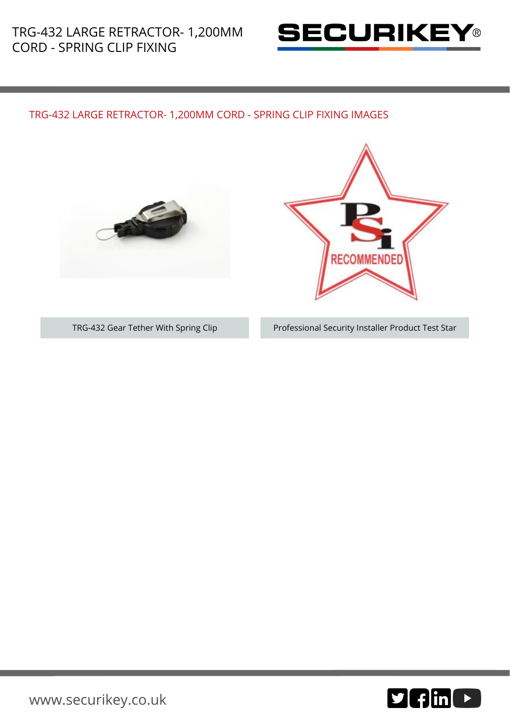

## TRG-432 LARGE RETRACTOR- 1,200MM CORD - SPRING CLIP FIXING IMAGES





TRG-432 Gear Tether With Spring Clip Professional Security Installer Product Test Star